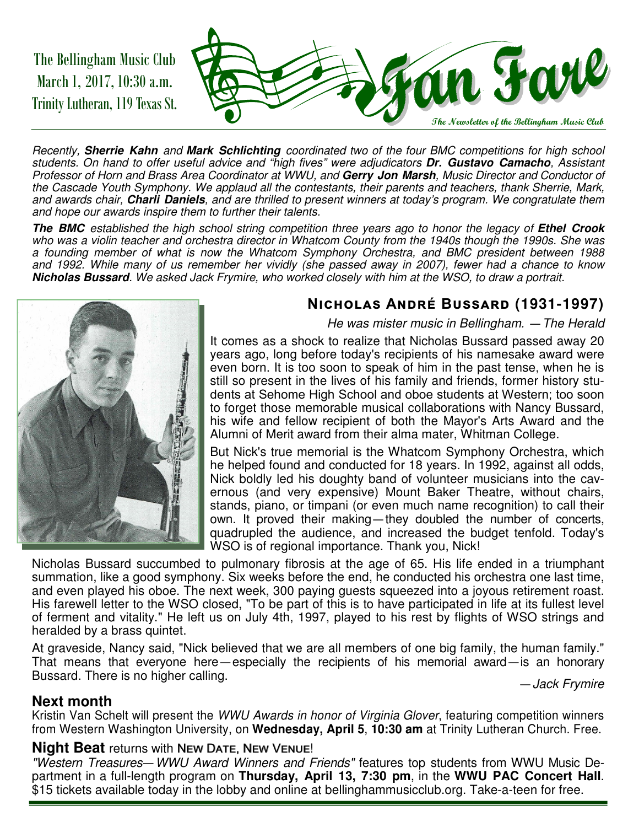The Bellingham Music Club March 1, 2017, 10:30 a.m. Trinity Lutheran, 119 Texas St.



Recently, **Sherrie Kahn** and **Mark Schlichting** coordinated two of the four BMC competitions for high school students. On hand to offer useful advice and "high fives" were adjudicators **Dr. Gustavo Camacho**, Assistant Professor of Horn and Brass Area Coordinator at WWU, and **Gerry Jon Marsh**, Music Director and Conductor of the Cascade Youth Symphony. We applaud all the contestants, their parents and teachers, thank Sherrie, Mark, and awards chair, **Charli Daniels**, and are thrilled to present winners at today's program. We congratulate them and hope our awards inspire them to further their talents.

**The BMC** established the high school string competition three years ago to honor the legacy of **Ethel Crook**  who was a violin teacher and orchestra director in Whatcom County from the 1940s though the 1990s. She was a founding member of what is now the Whatcom Symphony Orchestra, and BMC president between 1988 and 1992. While many of us remember her vividly (she passed away in 2007), fewer had a chance to know **Nicholas Bussard**. We asked Jack Frymire, who worked closely with him at the WSO, to draw a portrait.



#### **NICHOLAS ANDRÉ BUSSARD (1931-1997)**

He was mister music in Bellingham. — The Herald

It comes as a shock to realize that Nicholas Bussard passed away 20 years ago, long before today's recipients of his namesake award were even born. It is too soon to speak of him in the past tense, when he is still so present in the lives of his family and friends, former history students at Sehome High School and oboe students at Western; too soon to forget those memorable musical collaborations with Nancy Bussard, his wife and fellow recipient of both the Mayor's Arts Award and the Alumni of Merit award from their alma mater, Whitman College.

But Nick's true memorial is the Whatcom Symphony Orchestra, which he helped found and conducted for 18 years. In 1992, against all odds, Nick boldly led his doughty band of volunteer musicians into the cavernous (and very expensive) Mount Baker Theatre, without chairs, stands, piano, or timpani (or even much name recognition) to call their own. It proved their making— they doubled the number of concerts, quadrupled the audience, and increased the budget tenfold. Today's WSO is of regional importance. Thank you, Nick!

Nicholas Bussard succumbed to pulmonary fibrosis at the age of 65. His life ended in a triumphant summation, like a good symphony. Six weeks before the end, he conducted his orchestra one last time, and even played his oboe. The next week, 300 paying guests squeezed into a joyous retirement roast. His farewell letter to the WSO closed, "To be part of this is to have participated in life at its fullest level of ferment and vitality." He left us on July 4th, 1997, played to his rest by flights of WSO strings and heralded by a brass quintet.

At graveside, Nancy said, "Nick believed that we are all members of one big family, the human family." That means that everyone here — especially the recipients of his memorial award—is an honorary Bussard. There is no higher calling.

— Jack Frymire

#### **Next month**

Kristin Van Schelt will present the WWU Awards in honor of Virginia Glover, featuring competition winners from Western Washington University, on **Wednesday, April 5**, **10:30 am** at Trinity Lutheran Church. Free.

#### **Night Beat returns with NEW DATE, NEW VENUE!**

"Western Treasures—WWU Award Winners and Friends" features top students from WWU Music Department in a full-length program on **Thursday, April 13, 7:30 pm**, in the **WWU PAC Concert Hall**. \$15 tickets available today in the lobby and online at bellinghammusicclub.org. Take-a-teen for free.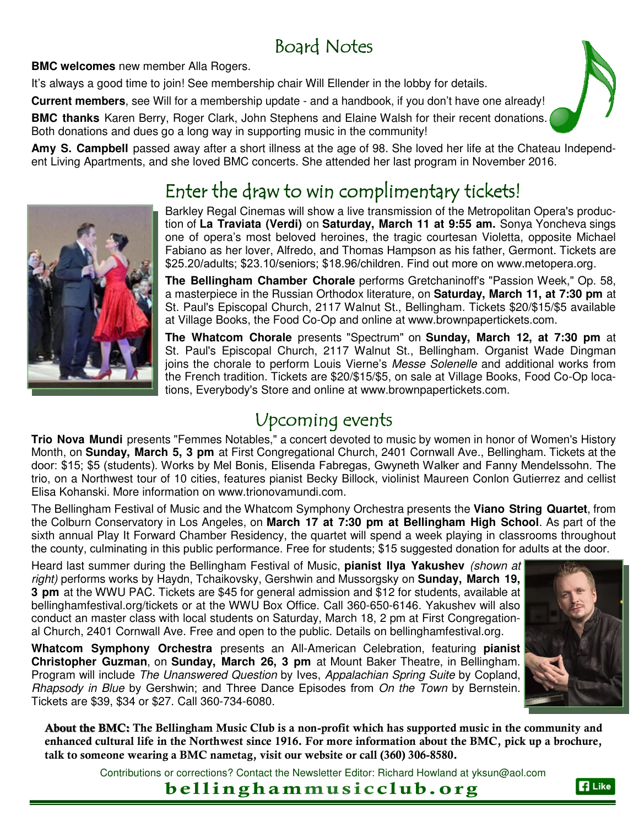# Board Notes

**BMC welcomes** new member Alla Rogers.

It's always a good time to join! See membership chair Will Ellender in the lobby for details.

**Current members**, see Will for a membership update - and a handbook, if you don't have one already!

**BMC thanks** Karen Berry, Roger Clark, John Stephens and Elaine Walsh for their recent donations. Both donations and dues go a long way in supporting music in the community!

**Amy S. Campbell** passed away after a short illness at the age of 98. She loved her life at the Chateau Independent Living Apartments, and she loved BMC concerts. She attended her last program in November 2016.

# Enter the draw to win complimentary tickets!

Barkley Regal Cinemas will show a live transmission of the Metropolitan Opera's production of **La Traviata (Verdi)** on **Saturday, March 11 at 9:55 am.** Sonya Yoncheva sings one of opera's most beloved heroines, the tragic courtesan Violetta, opposite Michael Fabiano as her lover, Alfredo, and Thomas Hampson as his father, Germont. Tickets are \$25.20/adults; \$23.10/seniors; \$18.96/children. Find out more on www.metopera.org.

**The Bellingham Chamber Chorale** performs Gretchaninoff's "Passion Week," Op. 58, a masterpiece in the Russian Orthodox literature, on **Saturday, March 11, at 7:30 pm** at St. Paul's Episcopal Church, 2117 Walnut St., Bellingham. Tickets \$20/\$15/\$5 available at Village Books, the Food Co-Op and online at www.brownpapertickets.com.

**The Whatcom Chorale** presents "Spectrum" on **Sunday, March 12, at 7:30 pm** at St. Paul's Episcopal Church, 2117 Walnut St., Bellingham. Organist Wade Dingman joins the chorale to perform Louis Vierne's Messe Solenelle and additional works from the French tradition. Tickets are \$20/\$15/\$5, on sale at Village Books, Food Co-Op locations, Everybody's Store and online at www.brownpapertickets.com.

# **Upcoming events**

**Trio Nova Mundi** presents "Femmes Notables," a concert devoted to music by women in honor of Women's History Month, on **Sunday, March 5, 3 pm** at First Congregational Church, 2401 Cornwall Ave., Bellingham. Tickets at the door: \$15; \$5 (students). Works by Mel Bonis, Elisenda Fabregas, Gwyneth Walker and Fanny Mendelssohn. The trio, on a Northwest tour of 10 cities, features pianist Becky Billock, violinist Maureen Conlon Gutierrez and cellist Elisa Kohanski. More information on www.trionovamundi.com.

The Bellingham Festival of Music and the Whatcom Symphony Orchestra presents the **Viano String Quartet**, from the Colburn Conservatory in Los Angeles, on **March 17 at 7:30 pm at Bellingham High School**. As part of the sixth annual Play It Forward Chamber Residency, the quartet will spend a week playing in classrooms throughout the county, culminating in this public performance. Free for students; \$15 suggested donation for adults at the door.

Heard last summer during the Bellingham Festival of Music, **pianist Ilya Yakushev** (shown at right) performs works by Haydn, Tchaikovsky, Gershwin and Mussorgsky on **Sunday, March 19, 3 pm** at the WWU PAC. Tickets are \$45 for general admission and \$12 for students, available at bellinghamfestival.org/tickets or at the WWU Box Office. Call 360-650-6146. Yakushev will also conduct an master class with local students on Saturday, March 18, 2 pm at First Congregational Church, 2401 Cornwall Ave. Free and open to the public. Details on bellinghamfestival.org.

**Whatcom Symphony Orchestra** presents an All-American Celebration, featuring **pianist Christopher Guzman**, on **Sunday, March 26, 3 pm** at Mount Baker Theatre, in Bellingham. Program will include The Unanswered Question by Ives, Appalachian Spring Suite by Copland, Rhapsody in Blue by Gershwin; and Three Dance Episodes from On the Town by Bernstein. Tickets are \$39, \$34 or \$27. Call 360-734-6080.

**About the BMC: The Bellingham Music Club is a non-profit which has supported music in the community and enhanced cultural life in the Northwest since 1916. For more information about the BMC, pick up a brochure, talk to someone wearing a BMC nametag, visit our website or call (360) 306-8580.** 

Contributions or corrections? Contact the Newsletter Editor: Richard Howland at yksun@aol.com

## **bellinghammusicclub.org**







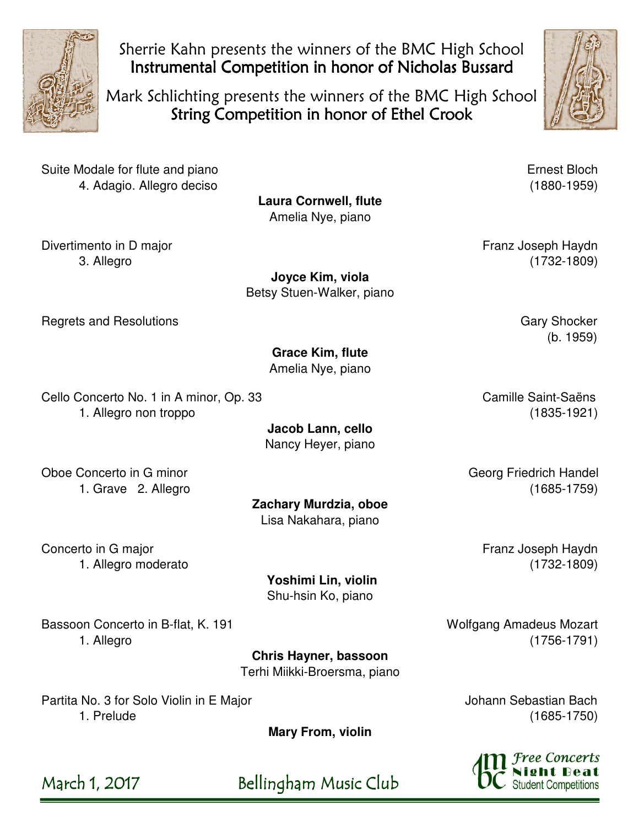

Sherrie Kahn presents the winners of the BMC High School Instrumental Competition in honor of Nicholas Bussard

Mark Schlichting presents the winners of the BMC High School String Competition in honor of Ethel Crook



Suite Modale for flute and piano **Example 2018** Ernest Bloch 4. Adagio. Allegro deciso (1880-1959)

**Laura Cornwell, flute**  Amelia Nye, piano

Divertimento in D major **Franz Joseph Haydn** 

**Joyce Kim, viola**  Betsy Stuen-Walker, piano

Regrets and Resolutions **Gary Shocker** Gary Shocker

**Grace Kim, flute**  Amelia Nye, piano

Cello Concerto No. 1 in A minor, Op. 33 Camille Saint-Saëns 1. Allegro non troppo (1835-1921)

> **Jacob Lann, cello**  Nancy Heyer, piano

**Zachary Murdzia, oboe**  Lisa Nakahara, piano

Oboe Concerto in G minor Georg Friedrich Handel

1. Grave 2. Allegro (1685-1759)

Concerto in G major **Franz Joseph Haydn** 

 **Yoshimi Lin, violin**  Shu-hsin Ko, piano

Bassoon Concerto in B-flat, K. 191 Metal and Amadeus Mozart Engineering Wolfgang Amadeus Mozart 1. Allegro (1756-1791)

**Chris Hayner, bassoon**  Terhi Miikki-Broersma, piano

Partita No. 3 for Solo Violin in E Major Johann Sebastian Bach 1. Prelude (1685-1750)

**Mary From, violin** 

March 1, 2017 Bellingham Music Club

3. Allegro (1732-1809)

(b. 1959)

1. Allegro moderato (1732-1809)